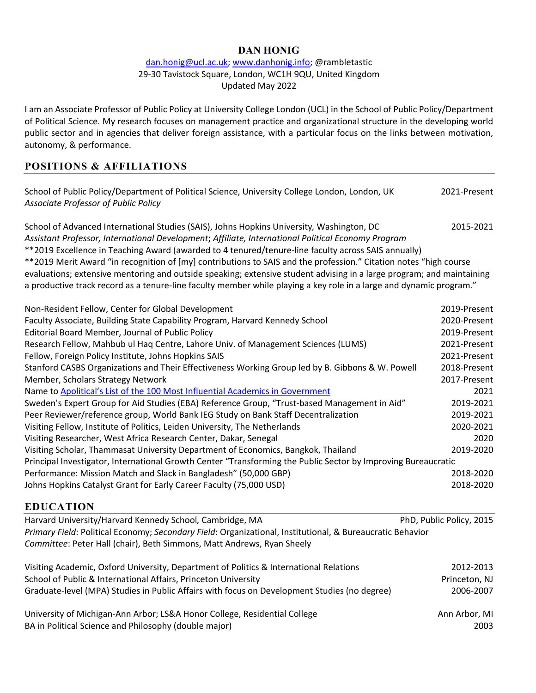## dan.honig@ucl.ac.uk; www.danhonig.info; @rambletastic 29-30 Tavistock Square, London, WC1H 9QU, United Kingdom Updated May 2022

I am an Associate Professor of Public Policy at University College London (UCL) in the School of Public Policy/Department of Political Science. My research focuses on management practice and organizational structure in the developing world public sector and in agencies that deliver foreign assistance, with a particular focus on the links between motivation, autonomy, & performance.

# **POSITIONS & AFFILIATIONS**

| School of Public Policy/Department of Political Science, University College London, London, UK<br>Associate Professor of Public Policy                                                                                                                                                                 | 2021-Present             |
|--------------------------------------------------------------------------------------------------------------------------------------------------------------------------------------------------------------------------------------------------------------------------------------------------------|--------------------------|
| School of Advanced International Studies (SAIS), Johns Hopkins University, Washington, DC<br>Assistant Professor, International Development; Affiliate, International Political Economy Program<br>**2019 Excellence in Teaching Award (awarded to 4 tenured/tenure-line faculty across SAIS annually) | 2015-2021                |
| **2019 Merit Award "in recognition of [my] contributions to SAIS and the profession." Citation notes "high course                                                                                                                                                                                      |                          |
| evaluations; extensive mentoring and outside speaking; extensive student advising in a large program; and maintaining                                                                                                                                                                                  |                          |
| a productive track record as a tenure-line faculty member while playing a key role in a large and dynamic program."                                                                                                                                                                                    |                          |
| Non-Resident Fellow, Center for Global Development                                                                                                                                                                                                                                                     | 2019-Present             |
| Faculty Associate, Building State Capability Program, Harvard Kennedy School                                                                                                                                                                                                                           | 2020-Present             |
| Editorial Board Member, Journal of Public Policy                                                                                                                                                                                                                                                       | 2019-Present             |
| Research Fellow, Mahbub ul Haq Centre, Lahore Univ. of Management Sciences (LUMS)                                                                                                                                                                                                                      | 2021-Present             |
| Fellow, Foreign Policy Institute, Johns Hopkins SAIS                                                                                                                                                                                                                                                   | 2021-Present             |
| Stanford CASBS Organizations and Their Effectiveness Working Group led by B. Gibbons & W. Powell                                                                                                                                                                                                       | 2018-Present             |
| Member, Scholars Strategy Network                                                                                                                                                                                                                                                                      | 2017-Present             |
| Name to Apolitical's List of the 100 Most Influential Academics in Government                                                                                                                                                                                                                          | 2021                     |
| Sweden's Expert Group for Aid Studies (EBA) Reference Group, "Trust-based Management in Aid"                                                                                                                                                                                                           | 2019-2021                |
| Peer Reviewer/reference group, World Bank IEG Study on Bank Staff Decentralization                                                                                                                                                                                                                     | 2019-2021                |
| Visiting Fellow, Institute of Politics, Leiden University, The Netherlands                                                                                                                                                                                                                             | 2020-2021                |
| Visiting Researcher, West Africa Research Center, Dakar, Senegal                                                                                                                                                                                                                                       | 2020                     |
| Visiting Scholar, Thammasat University Department of Economics, Bangkok, Thailand                                                                                                                                                                                                                      | 2019-2020                |
| Principal Investigator, International Growth Center "Transforming the Public Sector by Improving Bureaucratic                                                                                                                                                                                          |                          |
| Performance: Mission Match and Slack in Bangladesh" (50,000 GBP)                                                                                                                                                                                                                                       | 2018-2020                |
| Johns Hopkins Catalyst Grant for Early Career Faculty (75,000 USD)                                                                                                                                                                                                                                     | 2018-2020                |
| <b>EDUCATION</b>                                                                                                                                                                                                                                                                                       |                          |
| Harvard University/Harvard Kennedy School, Cambridge, MA                                                                                                                                                                                                                                               | PhD, Public Policy, 2015 |
| Primary Field: Political Economy; Secondary Field: Organizational, Institutional, & Bureaucratic Behavior                                                                                                                                                                                              |                          |
| Committee: Peter Hall (chair), Beth Simmons, Matt Andrews, Ryan Sheely                                                                                                                                                                                                                                 |                          |
| Visiting Academic, Oxford University, Department of Politics & International Relations                                                                                                                                                                                                                 | 2012-2013                |
| School of Public & International Affairs, Princeton University                                                                                                                                                                                                                                         | Princeton, NJ            |
| Graduate-level (MPA) Studies in Public Affairs with focus on Development Studies (no degree)                                                                                                                                                                                                           | 2006-2007                |
| University of Michigan-Ann Arbor; LS&A Honor College, Residential College                                                                                                                                                                                                                              | Ann Arbor, MI            |
| BA in Political Science and Philosophy (double major)                                                                                                                                                                                                                                                  | 2003                     |
|                                                                                                                                                                                                                                                                                                        |                          |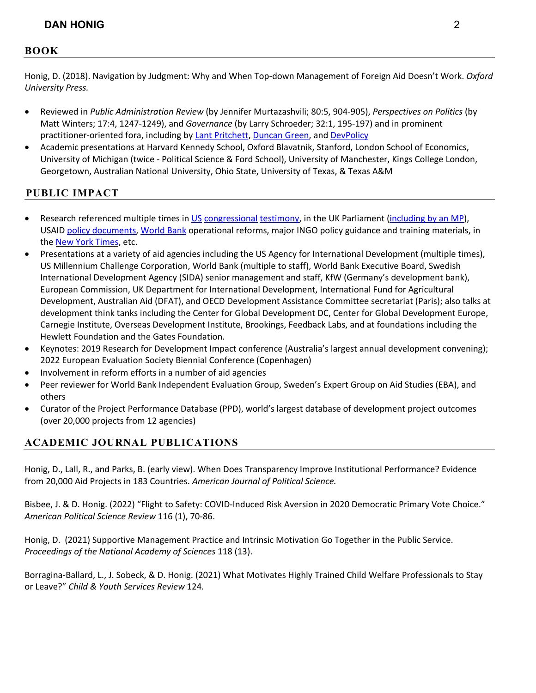## **BOOK**

Honig, D. (2018). Navigation by Judgment: Why and When Top-down Management of Foreign Aid Doesn't Work. *Oxford University Press.* 

- Reviewed in *Public Administration Review* (by Jennifer Murtazashvili; 80:5, 904-905), *Perspectives on Politics* (by Matt Winters; 17:4, 1247-1249), and *Governance* (by Larry Schroeder; 32:1, 195-197) and in prominent practitioner-oriented fora, including by Lant Pritchett, Duncan Green, and DevPolicy
- Academic presentations at Harvard Kennedy School, Oxford Blavatnik, Stanford, London School of Economics, University of Michigan (twice - Political Science & Ford School), University of Manchester, Kings College London, Georgetown, Australian National University, Ohio State, University of Texas, & Texas A&M

# **PUBLIC IMPACT**

- Research referenced multiple times in US congressional testimony, in the UK Parliament (including by an MP), USAID policy documents, World Bank operational reforms, major INGO policy guidance and training materials, in the New York Times, etc.
- Presentations at a variety of aid agencies including the US Agency for International Development (multiple times), US Millennium Challenge Corporation, World Bank (multiple to staff), World Bank Executive Board, Swedish International Development Agency (SIDA) senior management and staff, KfW (Germany's development bank), European Commission, UK Department for International Development, International Fund for Agricultural Development, Australian Aid (DFAT), and OECD Development Assistance Committee secretariat (Paris); also talks at development think tanks including the Center for Global Development DC, Center for Global Development Europe, Carnegie Institute, Overseas Development Institute, Brookings, Feedback Labs, and at foundations including the Hewlett Foundation and the Gates Foundation.
- Keynotes: 2019 Research for Development Impact conference (Australia's largest annual development convening); 2022 European Evaluation Society Biennial Conference (Copenhagen)
- Involvement in reform efforts in a number of aid agencies
- Peer reviewer for World Bank Independent Evaluation Group, Sweden's Expert Group on Aid Studies (EBA), and others
- Curator of the Project Performance Database (PPD), world's largest database of development project outcomes (over 20,000 projects from 12 agencies)

# **ACADEMIC JOURNAL PUBLICATIONS**

Honig, D., Lall, R., and Parks, B. (early view). When Does Transparency Improve Institutional Performance? Evidence from 20,000 Aid Projects in 183 Countries. *American Journal of Political Science.*

Bisbee, J. & D. Honig. (2022) "Flight to Safety: COVID-Induced Risk Aversion in 2020 Democratic Primary Vote Choice." *American Political Science Review* 116 (1), 70-86.

Honig, D. (2021) Supportive Management Practice and Intrinsic Motivation Go Together in the Public Service. *Proceedings of the National Academy of Sciences* 118 (13).

Borragina-Ballard, L., J. Sobeck, & D. Honig. (2021) What Motivates Highly Trained Child Welfare Professionals to Stay or Leave?" *Child & Youth Services Review* 124*.*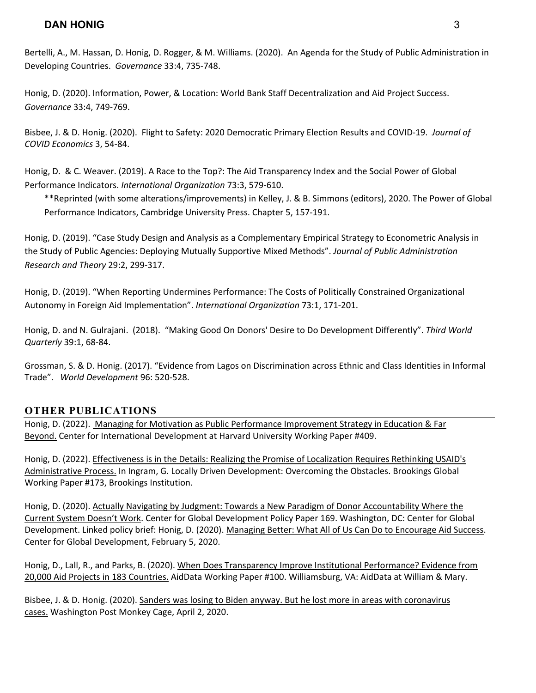Bertelli, A., M. Hassan, D. Honig, D. Rogger, & M. Williams. (2020). An Agenda for the Study of Public Administration in Developing Countries. *Governance* 33:4, 735-748.

Honig, D. (2020). Information, Power, & Location: World Bank Staff Decentralization and Aid Project Success. *Governance* 33:4, 749-769.

Bisbee, J. & D. Honig. (2020). Flight to Safety: 2020 Democratic Primary Election Results and COVID-19. *Journal of COVID Economics* 3, 54-84.

Honig, D. & C. Weaver. (2019). A Race to the Top?: The Aid Transparency Index and the Social Power of Global Performance Indicators. *International Organization* 73:3, 579-610.

\*\*Reprinted (with some alterations/improvements) in Kelley, J. & B. Simmons (editors), 2020. The Power of Global Performance Indicators, Cambridge University Press. Chapter 5, 157-191.

Honig, D. (2019). "Case Study Design and Analysis as a Complementary Empirical Strategy to Econometric Analysis in the Study of Public Agencies: Deploying Mutually Supportive Mixed Methods". *Journal of Public Administration Research and Theory* 29:2, 299-317.

Honig, D. (2019). "When Reporting Undermines Performance: The Costs of Politically Constrained Organizational Autonomy in Foreign Aid Implementation". *International Organization* 73:1, 171-201.

Honig, D. and N. Gulrajani. (2018). "Making Good On Donors' Desire to Do Development Differently". *Third World Quarterly* 39:1, 68-84.

Grossman, S. & D. Honig. (2017). "Evidence from Lagos on Discrimination across Ethnic and Class Identities in Informal Trade". *World Development* 96: 520-528.

## **OTHER PUBLICATIONS**

Honig, D. (2022). Managing for Motivation as Public Performance Improvement Strategy in Education & Far Beyond. Center for International Development at Harvard University Working Paper #409.

Honig, D. (2022). Effectiveness is in the Details: Realizing the Promise of Localization Requires Rethinking USAID's Administrative Process. In Ingram, G. Locally Driven Development: Overcoming the Obstacles. Brookings Global Working Paper #173, Brookings Institution.

Honig, D. (2020). Actually Navigating by Judgment: Towards a New Paradigm of Donor Accountability Where the Current System Doesn't Work. Center for Global Development Policy Paper 169. Washington, DC: Center for Global Development. Linked policy brief: Honig, D. (2020). Managing Better: What All of Us Can Do to Encourage Aid Success. Center for Global Development, February 5, 2020.

Honig, D., Lall, R., and Parks, B. (2020). When Does Transparency Improve Institutional Performance? Evidence from 20,000 Aid Projects in 183 Countries. AidData Working Paper #100. Williamsburg, VA: AidData at William & Mary.

Bisbee, J. & D. Honig. (2020). Sanders was losing to Biden anyway. But he lost more in areas with coronavirus cases. Washington Post Monkey Cage, April 2, 2020.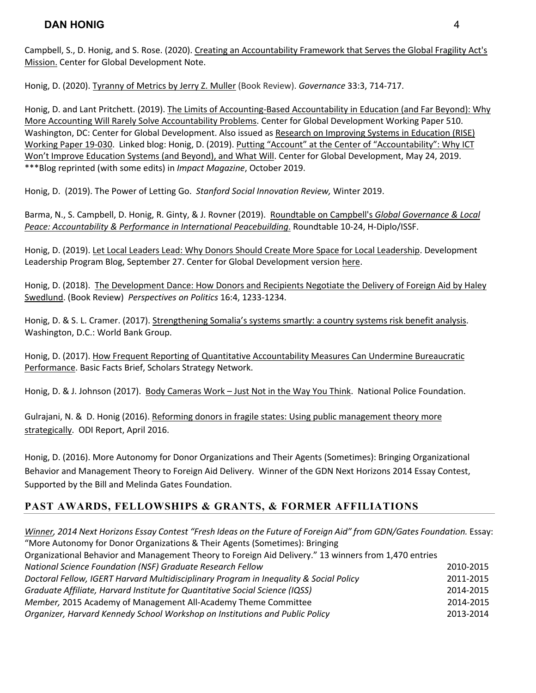Campbell, S., D. Honig, and S. Rose. (2020). Creating an Accountability Framework that Serves the Global Fragility Act's Mission. Center for Global Development Note.

Honig, D. (2020). Tyranny of Metrics by Jerry Z. Muller (Book Review). *Governance* 33:3, 714-717.

Honig, D. and Lant Pritchett. (2019). The Limits of Accounting-Based Accountability in Education (and Far Beyond): Why More Accounting Will Rarely Solve Accountability Problems. Center for Global Development Working Paper 510. Washington, DC: Center for Global Development. Also issued as Research on Improving Systems in Education (RISE) Working Paper 19-030. Linked blog: Honig, D. (2019). Putting "Account" at the Center of "Accountability": Why ICT Won't Improve Education Systems (and Beyond), and What Will. Center for Global Development, May 24, 2019. \*\*\*Blog reprinted (with some edits) in *Impact Magazine*, October 2019.

Honig, D. (2019). The Power of Letting Go. *Stanford Social Innovation Review,* Winter 2019.

Barma, N., S. Campbell, D. Honig, R. Ginty, & J. Rovner (2019). Roundtable on Campbell's *Global Governance & Local Peace: Accountability & Performance in International Peacebuilding*. Roundtable 10-24, H-Diplo/ISSF.

Honig, D. (2019). Let Local Leaders Lead: Why Donors Should Create More Space for Local Leadership. Development Leadership Program Blog, September 27. Center for Global Development version here.

Honig, D. (2018). The Development Dance: How Donors and Recipients Negotiate the Delivery of Foreign Aid by Haley Swedlund. (Book Review) *Perspectives on Politics* 16:4, 1233-1234.

Honig, D. & S. L. Cramer. (2017). Strengthening Somalia's systems smartly: a country systems risk benefit analysis. Washington, D.C.: World Bank Group.

Honig, D. (2017). How Frequent Reporting of Quantitative Accountability Measures Can Undermine Bureaucratic Performance. Basic Facts Brief, Scholars Strategy Network.

Honig, D. & J. Johnson (2017). Body Cameras Work - Just Not in the Way You Think. National Police Foundation.

Gulrajani, N. & D. Honig (2016). Reforming donors in fragile states: Using public management theory more strategically. ODI Report, April 2016.

Honig, D. (2016). More Autonomy for Donor Organizations and Their Agents (Sometimes): Bringing Organizational Behavior and Management Theory to Foreign Aid Delivery. Winner of the GDN Next Horizons 2014 Essay Contest, Supported by the Bill and Melinda Gates Foundation.

# **PAST AWARDS, FELLOWSHIPS & GRANTS, & FORMER AFFILIATIONS**

*Winner, 2014 Next Horizons Essay Contest "Fresh Ideas on the Future of Foreign Aid" from GDN/Gates Foundation. Essay:* "More Autonomy for Donor Organizations & Their Agents (Sometimes): Bringing Organizational Behavior and Management Theory to Foreign Aid Delivery." 13 winners from 1,470 entries *National Science Foundation (NSF) Graduate Research Fellow* 2010-2015 *Doctoral Fellow, IGERT Harvard Multidisciplinary Program in Inequality & Social Policy* 2011-2015 *Graduate Affiliate, Harvard Institute for Quantitative Social Science (IQSS)* 2014-2015 *Member,* 2015 Academy of Management All-Academy Theme Committee 2014-2015 *Organizer, Harvard Kennedy School Workshop on Institutions and Public Policy* 2013-2014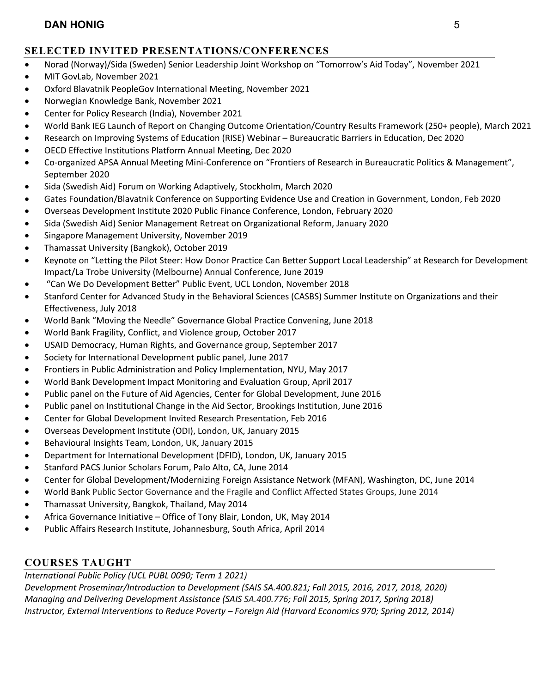# **SELECTED INVITED PRESENTATIONS/CONFERENCES**

- Norad (Norway)/Sida (Sweden) Senior Leadership Joint Workshop on "Tomorrow's Aid Today", November 2021
- MIT GovLab, November 2021
- Oxford Blavatnik PeopleGov International Meeting, November 2021
- Norwegian Knowledge Bank, November 2021
- Center for Policy Research (India), November 2021
- World Bank IEG Launch of Report on Changing Outcome Orientation/Country Results Framework (250+ people), March 2021
- Research on Improving Systems of Education (RISE) Webinar Bureaucratic Barriers in Education, Dec 2020
- OECD Effective Institutions Platform Annual Meeting, Dec 2020
- Co-organized APSA Annual Meeting Mini-Conference on "Frontiers of Research in Bureaucratic Politics & Management", September 2020
- Sida (Swedish Aid) Forum on Working Adaptively, Stockholm, March 2020
- Gates Foundation/Blavatnik Conference on Supporting Evidence Use and Creation in Government, London, Feb 2020
- Overseas Development Institute 2020 Public Finance Conference, London, February 2020
- Sida (Swedish Aid) Senior Management Retreat on Organizational Reform, January 2020
- Singapore Management University, November 2019
- Thamassat University (Bangkok), October 2019
- Keynote on "Letting the Pilot Steer: How Donor Practice Can Better Support Local Leadership" at Research for Development Impact/La Trobe University (Melbourne) Annual Conference, June 2019
- "Can We Do Development Better" Public Event, UCL London, November 2018
- Stanford Center for Advanced Study in the Behavioral Sciences (CASBS) Summer Institute on Organizations and their Effectiveness, July 2018
- World Bank "Moving the Needle" Governance Global Practice Convening, June 2018
- World Bank Fragility, Conflict, and Violence group, October 2017
- USAID Democracy, Human Rights, and Governance group, September 2017
- Society for International Development public panel, June 2017
- Frontiers in Public Administration and Policy Implementation, NYU, May 2017
- World Bank Development Impact Monitoring and Evaluation Group, April 2017
- Public panel on the Future of Aid Agencies, Center for Global Development, June 2016
- Public panel on Institutional Change in the Aid Sector, Brookings Institution, June 2016
- Center for Global Development Invited Research Presentation, Feb 2016
- Overseas Development Institute (ODI), London, UK, January 2015
- Behavioural Insights Team, London, UK, January 2015
- Department for International Development (DFID), London, UK, January 2015
- Stanford PACS Junior Scholars Forum, Palo Alto, CA, June 2014
- Center for Global Development/Modernizing Foreign Assistance Network (MFAN), Washington, DC, June 2014
- World Bank Public Sector Governance and the Fragile and Conflict Affected States Groups, June 2014
- Thamassat University, Bangkok, Thailand, May 2014
- Africa Governance Initiative Office of Tony Blair, London, UK, May 2014
- Public Affairs Research Institute, Johannesburg, South Africa, April 2014

# **COURSES TAUGHT**

*International Public Policy (UCL PUBL 0090; Term 1 2021)*

*Development Proseminar/Introduction to Development (SAIS SA.400.821; Fall 2015, 2016, 2017, 2018, 2020) Managing and Delivering Development Assistance (SAIS SA.400.776; Fall 2015, Spring 2017, Spring 2018) Instructor, External Interventions to Reduce Poverty – Foreign Aid (Harvard Economics 970; Spring 2012, 2014)*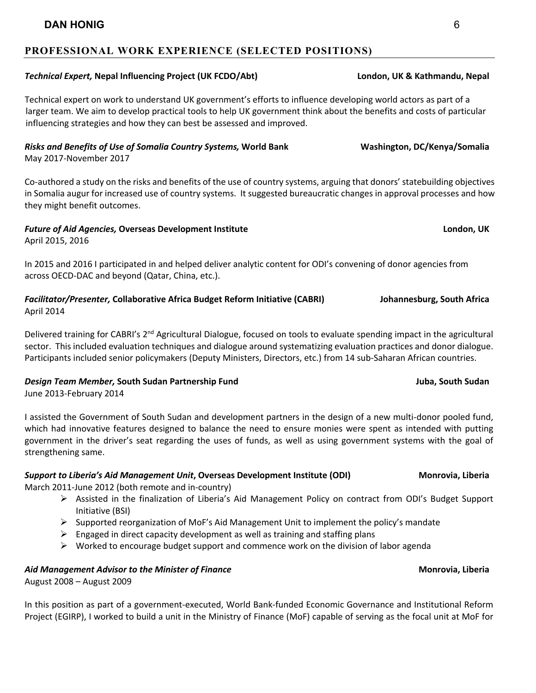## **PROFESSIONAL WORK EXPERIENCE (SELECTED POSITIONS)**

### *Technical Expert,* **Nepal Influencing Project (UK FCDO/Abt) London, UK & Kathmandu, Nepal**

Technical expert on work to understand UK government's efforts to influence developing world actors as part of a larger team. We aim to develop practical tools to help UK government think about the benefits and costs of particular influencing strategies and how they can best be assessed and improved.

## *Risks and Benefits of Use of Somalia Country Systems,* **World Bank Washington, DC/Kenya/Somalia**

May 2017-November 2017

Co-authored a study on the risks and benefits of the use of country systems, arguing that donors' statebuilding objectives in Somalia augur for increased use of country systems. It suggested bureaucratic changes in approval processes and how they might benefit outcomes.

### *Future of Aid Agencies, Overseas Development Institute* **London, UK and the London, UK** April 2015, 2016

In 2015 and 2016 I participated in and helped deliver analytic content for ODI's convening of donor agencies from across OECD-DAC and beyond (Qatar, China, etc.).

### *Facilitator/Presenter,* **Collaborative Africa Budget Reform Initiative (CABRI) Johannesburg, South Africa** April 2014

Delivered training for CABRI's 2<sup>nd</sup> Agricultural Dialogue, focused on tools to evaluate spending impact in the agricultural sector. This included evaluation techniques and dialogue around systematizing evaluation practices and donor dialogue. Participants included senior policymakers (Deputy Ministers, Directors, etc.) from 14 sub-Saharan African countries.

### *Design Team Member,* **South Sudan Partnership Fund Juba, South Sudan**

June 2013-February 2014

I assisted the Government of South Sudan and development partners in the design of a new multi-donor pooled fund, which had innovative features designed to balance the need to ensure monies were spent as intended with putting government in the driver's seat regarding the uses of funds, as well as using government systems with the goal of strengthening same.

## *Support to Liberia's Aid Management Unit***, Overseas Development Institute (ODI) Monrovia, Liberia**

March 2011-June 2012 (both remote and in-country)

- Ø Assisted in the finalization of Liberia's Aid Management Policy on contract from ODI's Budget Support Initiative (BSI)
- $\triangleright$  Supported reorganization of MoF's Aid Management Unit to implement the policy's mandate
- $\triangleright$  Engaged in direct capacity development as well as training and staffing plans
- $\triangleright$  Worked to encourage budget support and commence work on the division of labor agenda

# *Aid Management Advisor to the Minister of Finance* **Monrovia, Liberia**

August 2008 – August 2009

In this position as part of a government-executed, World Bank-funded Economic Governance and Institutional Reform Project (EGIRP), I worked to build a unit in the Ministry of Finance (MoF) capable of serving as the focal unit at MoF for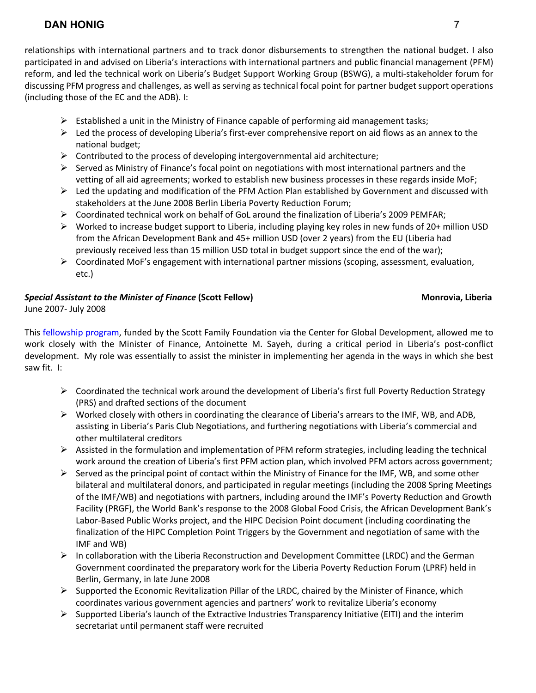relationships with international partners and to track donor disbursements to strengthen the national budget. I also participated in and advised on Liberia's interactions with international partners and public financial management (PFM) reform, and led the technical work on Liberia's Budget Support Working Group (BSWG), a multi-stakeholder forum for discussing PFM progress and challenges, as well as serving as technical focal point for partner budget support operations (including those of the EC and the ADB). I:

- $\triangleright$  Established a unit in the Ministry of Finance capable of performing aid management tasks;
- $\triangleright$  Led the process of developing Liberia's first-ever comprehensive report on aid flows as an annex to the national budget;
- $\triangleright$  Contributed to the process of developing intergovernmental aid architecture;
- $\triangleright$  Served as Ministry of Finance's focal point on negotiations with most international partners and the vetting of all aid agreements; worked to establish new business processes in these regards inside MoF;
- $\triangleright$  Led the updating and modification of the PFM Action Plan established by Government and discussed with stakeholders at the June 2008 Berlin Liberia Poverty Reduction Forum;
- $\triangleright$  Coordinated technical work on behalf of GoL around the finalization of Liberia's 2009 PEMFAR;
- $\triangleright$  Worked to increase budget support to Liberia, including playing key roles in new funds of 20+ million USD from the African Development Bank and 45+ million USD (over 2 years) from the EU (Liberia had previously received less than 15 million USD total in budget support since the end of the war);
- $\triangleright$  Coordinated MoF's engagement with international partner missions (scoping, assessment, evaluation, etc.)

# **Special Assistant to the Minister of Finance (Scott Fellow)** Montowia, Liberia **Monrovia**, Liberia

June 2007- July 2008

This fellowship program, funded by the Scott Family Foundation via the Center for Global Development, allowed me to work closely with the Minister of Finance, Antoinette M. Sayeh, during a critical period in Liberia's post-conflict development. My role was essentially to assist the minister in implementing her agenda in the ways in which she best saw fit. I:

- $\triangleright$  Coordinated the technical work around the development of Liberia's first full Poverty Reduction Strategy (PRS) and drafted sections of the document
- $\triangleright$  Worked closely with others in coordinating the clearance of Liberia's arrears to the IMF, WB, and ADB, assisting in Liberia's Paris Club Negotiations, and furthering negotiations with Liberia's commercial and other multilateral creditors
- $\triangleright$  Assisted in the formulation and implementation of PFM reform strategies, including leading the technical work around the creation of Liberia's first PFM action plan, which involved PFM actors across government;
- $\triangleright$  Served as the principal point of contact within the Ministry of Finance for the IMF, WB, and some other bilateral and multilateral donors, and participated in regular meetings (including the 2008 Spring Meetings of the IMF/WB) and negotiations with partners, including around the IMF's Poverty Reduction and Growth Facility (PRGF), the World Bank's response to the 2008 Global Food Crisis, the African Development Bank's Labor-Based Public Works project, and the HIPC Decision Point document (including coordinating the finalization of the HIPC Completion Point Triggers by the Government and negotiation of same with the IMF and WB)
- $\triangleright$  In collaboration with the Liberia Reconstruction and Development Committee (LRDC) and the German Government coordinated the preparatory work for the Liberia Poverty Reduction Forum (LPRF) held in Berlin, Germany, in late June 2008
- $\triangleright$  Supported the Economic Revitalization Pillar of the LRDC, chaired by the Minister of Finance, which coordinates various government agencies and partners' work to revitalize Liberia's economy
- $\triangleright$  Supported Liberia's launch of the Extractive Industries Transparency Initiative (EITI) and the interim secretariat until permanent staff were recruited